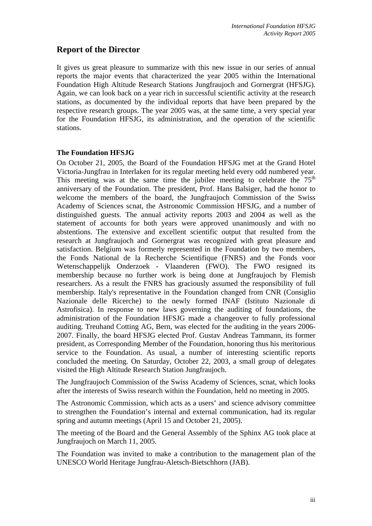# **Report of the Director**

It gives us great pleasure to summarize with this new issue in our series of annual reports the major events that characterized the year 2005 within the International Foundation High Altitude Research Stations Jungfraujoch and Gornergrat (HFSJG). Again, we can look back on a year rich in successful scientific activity at the research stations, as documented by the individual reports that have been prepared by the respective research groups. The year 2005 was, at the same time, a very special year for the Foundation HFSJG, its administration, and the operation of the scientific stations.

## **The Foundation HFSJG**

On October 21, 2005, the Board of the Foundation HFSJG met at the Grand Hotel Victoria-Jungfrau in Interlaken for its regular meeting held every odd numbered year. This meeting was at the same time the jubilee meeting to celebrate the  $75<sup>th</sup>$ anniversary of the Foundation. The president, Prof. Hans Balsiger, had the honor to welcome the members of the board, the Jungfraujoch Commission of the Swiss Academy of Sciences scnat, the Astronomic Commission HFSJG, and a number of distinguished guests. The annual activity reports 2003 and 2004 as well as the statement of accounts for both years were approved unanimously and with no abstentions. The extensive and excellent scientific output that resulted from the research at Jungfraujoch and Gornergrat was recognized with great pleasure and satisfaction. Belgium was formerly represented in the Foundation by two members, the Fonds National de la Recherche Scientifique (FNRS) and the Fonds voor Wetenschappelijk Onderzoek - Vlaanderen (FWO). The FWO resigned its membership because no further work is being done at Jungfraujoch by Flemish researchers. As a result the FNRS has graciously assumed the responsibility of full membership. Italy's representative in the Foundation changed from CNR (Consiglio Nazionale delle Ricerche) to the newly formed INAF (Istituto Nazionale di Astrofisica). In response to new laws governing the auditing of foundations, the administration of the Foundation HFSJG made a changeover to fully professional auditing. Treuhand Cotting AG, Bern, was elected for the auditing in the years 2006- 2007. Finally, the board HFSJG elected Prof. Gustav Andreas Tammann, its former president, as Corresponding Member of the Foundation, honoring thus his meritorious service to the Foundation. As usual, a number of interesting scientific reports concluded the meeting. On Saturday, October 22, 2003, a small group of delegates visited the High Altitude Research Station Jungfraujoch.

The Jungfraujoch Commission of the Swiss Academy of Sciences, scnat, which looks after the interests of Swiss research within the Foundation, held no meeting in 2005.

The Astronomic Commission, which acts as a users' and science advisory committee to strengthen the Foundation's internal and external communication, had its regular spring and autumn meetings (April 15 and October 21, 2005).

The meeting of the Board and the General Assembly of the Sphinx AG took place at Jungfraujoch on March 11, 2005.

The Foundation was invited to make a contribution to the management plan of the UNESCO World Heritage Jungfrau-Aletsch-Bietschhorn (JAB).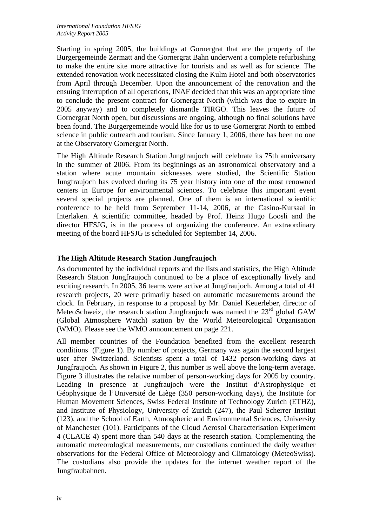Starting in spring 2005, the buildings at Gornergrat that are the property of the Burgergemeinde Zermatt and the Gornergrat Bahn underwent a complete refurbishing to make the entire site more attractive for tourists and as well as for science. The extended renovation work necessitated closing the Kulm Hotel and both observatories from April through December. Upon the announcement of the renovation and the ensuing interruption of all operations, INAF decided that this was an appropriate time to conclude the present contract for Gornergrat North (which was due to expire in 2005 anyway) and to completely dismantle TIRGO. This leaves the future of Gornergrat North open, but discussions are ongoing, although no final solutions have been found. The Burgergemeinde would like for us to use Gornergrat North to embed science in public outreach and tourism. Since January 1, 2006, there has been no one at the Observatory Gornergrat North.

The High Altitude Research Station Jungfraujoch will celebrate its 75th anniversary in the summer of 2006. From its beginnings as an astronomical observatory and a station where acute mountain sicknesses were studied, the Scientific Station Jungfraujoch has evolved during its 75 year history into one of the most renowned centers in Europe for environmental sciences. To celebrate this important event several special projects are planned. One of them is an international scientific conference to be held from September 11-14, 2006, at the Casino-Kursaal in Interlaken. A scientific committee, headed by Prof. Heinz Hugo Loosli and the director HFSJG, is in the process of organizing the conference. An extraordinary meeting of the board HFSJG is scheduled for September 14, 2006.

### **The High Altitude Research Station Jungfraujoch**

As documented by the individual reports and the lists and statistics, the High Altitude Research Station Jungfraujoch continued to be a place of exceptionally lively and exciting research. In 2005, 36 teams were active at Jungfraujoch. Among a total of 41 research projects, 20 were primarily based on automatic measurements around the clock. In February, in response to a proposal by Mr. Daniel Keuerleber, director of MeteoSchweiz, the research station Jungfraujoch was named the  $23<sup>rd</sup>$  global GAW (Global Atmosphere Watch) station by the World Meteorological Organisation (WMO). Please see the WMO announcement on page 221.

All member countries of the Foundation benefited from the excellent research conditions (Figure 1). By number of projects, Germany was again the second largest user after Switzerland. Scientists spent a total of 1432 person-working days at Jungfraujoch. As shown in Figure 2, this number is well above the long-term average. Figure 3 illustrates the relative number of person-working days for 2005 by country. Leading in presence at Jungfraujoch were the Institut d'Astrophysique et Géophysique de l'Université de Liège (350 person-working days), the Institute for Human Movement Sciences, Swiss Federal Institute of Technology Zurich (ETHZ), and Institute of Physiology, University of Zurich (247), the Paul Scherrer Institut (123), and the School of Earth, Atmospheric and Environmental Sciences, University of Manchester (101). Participants of the Cloud Aerosol Characterisation Experiment 4 (CLACE 4) spent more than 540 days at the research station. Complementing the automatic meteorological measurements, our custodians continued the daily weather observations for the Federal Office of Meteorology and Climatology (MeteoSwiss). The custodians also provide the updates for the internet weather report of the Jungfraubahnen.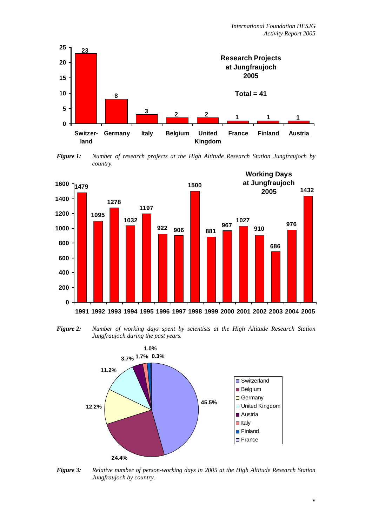

*Figure 1: Number of research projects at the High Altitude Research Station Jungfraujoch by country.* 



*Figure 2: Number of working days spent by scientists at the High Altitude Research Station Jungfraujoch during the past years.* 



*Figure 3: Relative number of person-working days in 2005 at the High Altitude Research Station Jungfraujoch by country.*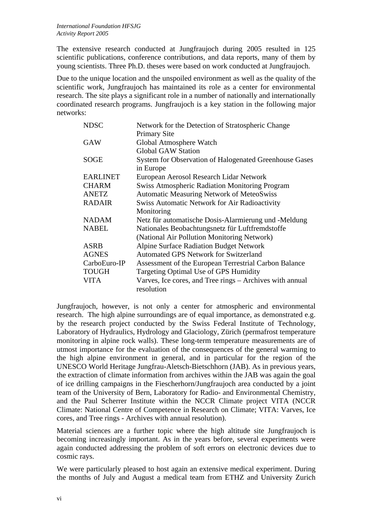The extensive research conducted at Jungfraujoch during 2005 resulted in 125 scientific publications, conference contributions, and data reports, many of them by young scientists. Three Ph.D. theses were based on work conducted at Jungfraujoch.

Due to the unique location and the unspoiled environment as well as the quality of the scientific work, Jungfraujoch has maintained its role as a center for environmental research. The site plays a significant role in a number of nationally and internationally coordinated research programs. Jungfraujoch is a key station in the following major networks:

| <b>NDSC</b>     | Network for the Detection of Stratospheric Change        |
|-----------------|----------------------------------------------------------|
|                 | <b>Primary Site</b>                                      |
| <b>GAW</b>      | Global Atmosphere Watch                                  |
|                 | <b>Global GAW Station</b>                                |
| <b>SOGE</b>     | System for Observation of Halogenated Greenhouse Gases   |
|                 | in Europe                                                |
| <b>EARLINET</b> | European Aerosol Research Lidar Network                  |
| <b>CHARM</b>    | <b>Swiss Atmospheric Radiation Monitoring Program</b>    |
| <b>ANETZ</b>    | <b>Automatic Measuring Network of MeteoSwiss</b>         |
| <b>RADAIR</b>   | Swiss Automatic Network for Air Radioactivity            |
|                 | Monitoring                                               |
| <b>NADAM</b>    | Netz für automatische Dosis-Alarmierung und -Meldung     |
| <b>NABEL</b>    | Nationales Beobachtungsnetz für Luftfremdstoffe          |
|                 | (National Air Pollution Monitoring Network)              |
| <b>ASRB</b>     | <b>Alpine Surface Radiation Budget Network</b>           |
| <b>AGNES</b>    | <b>Automated GPS Network for Switzerland</b>             |
| CarboEuro-IP    | Assessment of the European Terrestrial Carbon Balance    |
| <b>TOUGH</b>    | Targeting Optimal Use of GPS Humidity                    |
| <b>VITA</b>     | Varves, Ice cores, and Tree rings - Archives with annual |
|                 | resolution                                               |

Jungfraujoch, however, is not only a center for atmospheric and environmental research. The high alpine surroundings are of equal importance, as demonstrated e.g. by the research project conducted by the Swiss Federal Institute of Technology, Laboratory of Hydraulics, Hydrology and Glaciology, Zürich (permafrost temperature monitoring in alpine rock walls). These long-term temperature measurements are of utmost importance for the evaluation of the consequences of the general warming to the high alpine environment in general, and in particular for the region of the UNESCO World Heritage Jungfrau-Aletsch-Bietschhorn (JAB). As in previous years, the extraction of climate information from archives within the JAB was again the goal of ice drilling campaigns in the Fiescherhorn/Jungfraujoch area conducted by a joint team of the University of Bern, Laboratory for Radio- and Environmental Chemistry, and the Paul Scherrer Institute within the NCCR Climate project VITA (NCCR Climate: National Centre of Competence in Research on Climate; VITA: Varves, Ice cores, and Tree rings - Archives with annual resolution).

Material sciences are a further topic where the high altitude site Jungfraujoch is becoming increasingly important. As in the years before, several experiments were again conducted addressing the problem of soft errors on electronic devices due to cosmic rays.

We were particularly pleased to host again an extensive medical experiment. During the months of July and August a medical team from ETHZ and University Zurich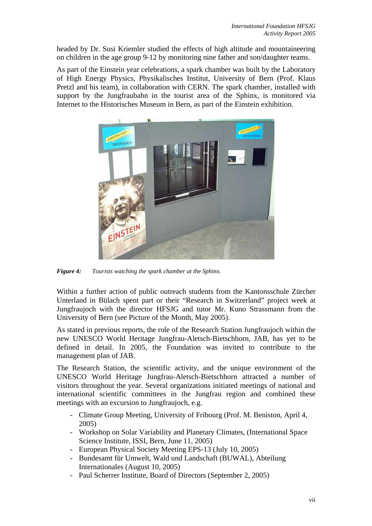headed by Dr. Susi Kriemler studied the effects of high altitude and mountaineering on children in the age group 9-12 by monitoring nine father and son/daughter teams.

As part of the Einstein year celebrations, a spark chamber was built by the Laboratory of High Energy Physics, Physikalisches Institut, University of Bern (Prof. Klaus Pretzl and his team), in collaboration with CERN. The spark chamber, installed with support by the Jungfraubahn in the tourist area of the Sphinx, is monitored via Internet to the Historisches Museum in Bern, as part of the Einstein exhibition.



*Figure 4: Tourists watching the spark chamber at the Sphinx.* 

Within a further action of public outreach students from the Kantonsschule Zürcher Unterland in Bülach spent part or their "Research in Switzerland" project week at Jungfraujoch with the director HFSJG and tutor Mr. Kuno Strassmann from the University of Bern (see Picture of the Month, May 2005).

As stated in previous reports, the role of the Research Station Jungfraujoch within the new UNESCO World Heritage Jungfrau-Aletsch-Bietschhorn, JAB, has yet to be defined in detail. In 2005, the Foundation was invited to contribute to the management plan of JAB.

The Research Station, the scientific activity, and the unique environment of the UNESCO World Heritage Jungfrau-Aletsch-Bietschhorn attracted a number of visitors throughout the year. Several organizations initiated meetings of national and international scientific committees in the Jungfrau region and combined these meetings with an excursion to Jungfraujoch, e.g.

- Climate Group Meeting, University of Fribourg (Prof. M. Beniston, April 4, 2005)
- Workshop on Solar Variability and Planetary Climates, (International Space Science Institute, ISSI, Bern, June 11, 2005)
- European Physical Society Meeting EPS-13 (July 10, 2005)
- Bundesamt für Umwelt, Wald und Landschaft (BUWAL), Abteilung Internationales (August 10, 2005)
- Paul Scherrer Institute, Board of Directors (September 2, 2005)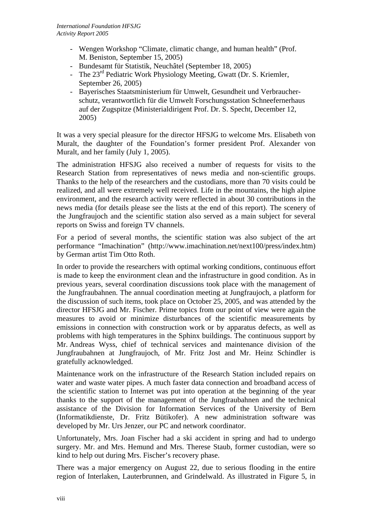- Wengen Workshop "Climate, climatic change, and human health" (Prof. M. Beniston, September 15, 2005)
- Bundesamt für Statistik, Neuchâtel (September 18, 2005)
- The  $23<sup>rd</sup>$  Pediatric Work Physiology Meeting, Gwatt (Dr. S. Kriemler, September 26, 2005)
- Bayerisches Staatsministerium für Umwelt, Gesundheit und Verbraucherschutz, verantwortlich für die Umwelt Forschungsstation Schneefernerhaus auf der Zugspitze (Ministerialdirigent Prof. Dr. S. Specht, December 12, 2005)

It was a very special pleasure for the director HFSJG to welcome Mrs. Elisabeth von Muralt, the daughter of the Foundation's former president Prof. Alexander von Muralt, and her family (July 1, 2005).

The administration HFSJG also received a number of requests for visits to the Research Station from representatives of news media and non-scientific groups. Thanks to the help of the researchers and the custodians, more than 70 visits could be realized, and all were extremely well received. Life in the mountains, the high alpine environment, and the research activity were reflected in about 30 contributions in the news media (for details please see the lists at the end of this report). The scenery of the Jungfraujoch and the scientific station also served as a main subject for several reports on Swiss and foreign TV channels.

For a period of several months, the scientific station was also subject of the art performance "Imachination" (http://www.imachination.net/next100/press/index.htm) by German artist Tim Otto Roth.

In order to provide the researchers with optimal working conditions, continuous effort is made to keep the environment clean and the infrastructure in good condition. As in previous years, several coordination discussions took place with the management of the Jungfraubahnen. The annual coordination meeting at Jungfraujoch, a platform for the discussion of such items, took place on October 25, 2005, and was attended by the director HFSJG and Mr. Fischer. Prime topics from our point of view were again the measures to avoid or minimize disturbances of the scientific measurements by emissions in connection with construction work or by apparatus defects, as well as problems with high temperatures in the Sphinx buildings. The continuous support by Mr. Andreas Wyss, chief of technical services and maintenance division of the Jungfraubahnen at Jungfraujoch, of Mr. Fritz Jost and Mr. Heinz Schindler is gratefully acknowledged.

Maintenance work on the infrastructure of the Research Station included repairs on water and waste water pipes. A much faster data connection and broadband access of the scientific station to Internet was put into operation at the beginning of the year thanks to the support of the management of the Jungfraubahnen and the technical assistance of the Division for Information Services of the University of Bern (Informatikdienste, Dr. Fritz Bütikofer). A new administration software was developed by Mr. Urs Jenzer, our PC and network coordinator.

Unfortunately, Mrs. Joan Fischer had a ski accident in spring and had to undergo surgery. Mr. and Mrs. Hemund and Mrs. Therese Staub, former custodian, were so kind to help out during Mrs. Fischer's recovery phase.

There was a major emergency on August 22, due to serious flooding in the entire region of Interlaken, Lauterbrunnen, and Grindelwald. As illustrated in Figure 5, in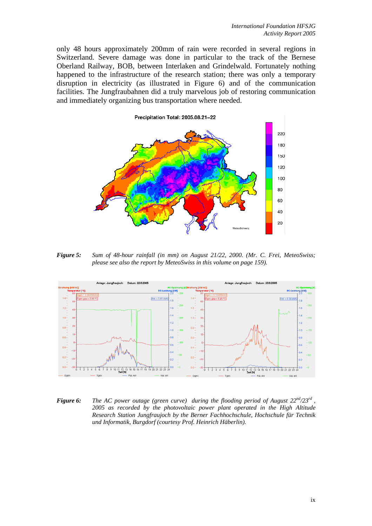only 48 hours approximately 200mm of rain were recorded in several regions in Switzerland. Severe damage was done in particular to the track of the Bernese Oberland Railway, BOB, between Interlaken and Grindelwald. Fortunately nothing happened to the infrastructure of the research station; there was only a temporary disruption in electricity (as illustrated in Figure 6) and of the communication facilities. The Jungfraubahnen did a truly marvelous job of restoring communication and immediately organizing bus transportation where needed.



*Figure 5: Sum of 48-hour rainfall (in mm) on August 21/22, 2000. (Mr. C. Frei, MeteoSwiss; please see also the report by MeteoSwiss in this volume on page 159).* 



*Figure 6: The AC power outage (green curve) during the flooding period of August 22nd/23rd , 2005 as recorded by the photovoltaic power plant operated in the High Altitude Research Station Jungfraujoch by the Berner Fachhochschule, Hochschule für Technik und Informatik, Burgdorf (courtesy Prof. Heinrich Häberlin).*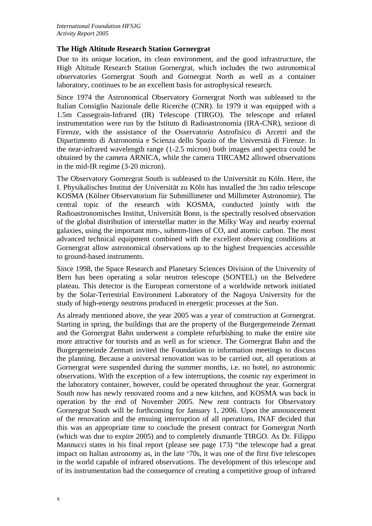### **The High Altitude Research Station Gornergrat**

Due to its unique location, its clean environment, and the good infrastructure, the High Altitude Research Station Gornergrat, which includes the two astronomical observatories Gornergrat South and Gornergrat North as well as a container laboratory, continues to be an excellent basis for astrophysical research.

Since 1974 the Astronomical Observatory Gornergrat North was subleased to the Italian Consiglio Nazionale delle Ricerche (CNR). In 1979 it was equipped with a 1.5m Cassegrain-Infrared (IR) Telescope (TIRGO). The telescope and related instrumentation were run by the Istituto di Radioastronomia (IRA-CNR), sezione di Firenze, with the assistance of the Osservatorio Astrofisico di Arcetri and the Dipartimento di Astronomia e Scienza dello Spazio of the Università di Firenze. In the near-infrared wavelength range (1-2.5 micron) both images and spectra could be obtained by the camera ARNICA, while the camera TIRCAM2 allowed observations in the mid-IR regime (3-20 micron).

The Observatory Gornergrat South is subleased to the Universität zu Köln. Here, the I. Physikalisches Institut der Universität zu Köln has installed the 3m radio telescope KOSMA (Kölner Observatorium für Submillimeter und Millimeter Astronomie). The central topic of the research with KOSMA, conducted jointly with the Radioastronomisches Institut, Universität Bonn, is the spectrally resolved observation of the global distribution of interstellar matter in the Milky Way and nearby external galaxies, using the important mm-, submm-lines of CO, and atomic carbon. The most advanced technical equipment combined with the excellent observing conditions at Gornergrat allow astronomical observations up to the highest frequencies accessible to ground-based instruments.

Since 1998, the Space Research and Planetary Sciences Division of the University of Bern has been operating a solar neutron telescope (SONTEL) on the Belvedere plateau. This detector is the European cornerstone of a worldwide network initiated by the Solar-Terrestrial Environment Laboratory of the Nagoya University for the study of high-energy neutrons produced in energetic processes at the Sun.

As already mentioned above, the year 2005 was a year of construction at Gornergrat. Starting in spring, the buildings that are the property of the Burgergemeinde Zermatt and the Gornergrat Bahn underwent a complete refurbishing to make the entire site more attractive for tourists and as well as for science. The Gornergrat Bahn and the Burgergemeinde Zermatt invited the Foundation to information meetings to discuss the planning. Because a universal renovation was to be carried out, all operations at Gornergrat were suspended during the summer months, i.e. no hotel, no astronomic observations. With the exception of a few interruptions, the cosmic ray experiment in the laboratory container, however, could be operated throughout the year. Gornergrat South now has newly renovated rooms and a new kitchen, and KOSMA was back in operation by the end of November 2005. New rent contracts for Observatory Gornergrat South will be forthcoming for January 1, 2006. Upon the announcement of the renovation and the ensuing interruption of all operations, INAF decided that this was an appropriate time to conclude the present contract for Gornergrat North (which was due to expire 2005) and to completely dismantle TIRGO. As Dr. Filippo Mannucci states in his final report (please see page 173) "the telescope had a great impact on Italian astronomy as, in the late '70s, it was one of the first five telescopes in the world capable of infrared observations. The development of this telescope and of its instrumentation had the consequence of creating a competitive group of infrared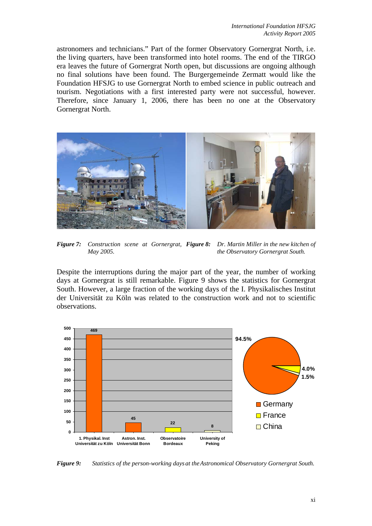astronomers and technicians." Part of the former Observatory Gornergrat North, i.e. the living quarters, have been transformed into hotel rooms. The end of the TIRGO era leaves the future of Gornergrat North open, but discussions are ongoing although no final solutions have been found. The Burgergemeinde Zermatt would like the Foundation HFSJG to use Gornergrat North to embed science in public outreach and tourism. Negotiations with a first interested party were not successful, however. Therefore, since January 1, 2006, there has been no one at the Observatory Gornergrat North.



*Figure 7: Construction scene at Gornergrat, Figure 8: Dr. Martin Miller in the new kitchen of May 2005. the Observatory Gornergrat South.*

Despite the interruptions during the major part of the year, the number of working days at Gornergrat is still remarkable. Figure 9 shows the statistics for Gornergrat South. However, a large fraction of the working days of the I. Physikalisches Institut der Universität zu Köln was related to the construction work and not to scientific observations.



*Figure 9: Statistics of the person-working days at the Astronomical Observatory Gornergrat South.*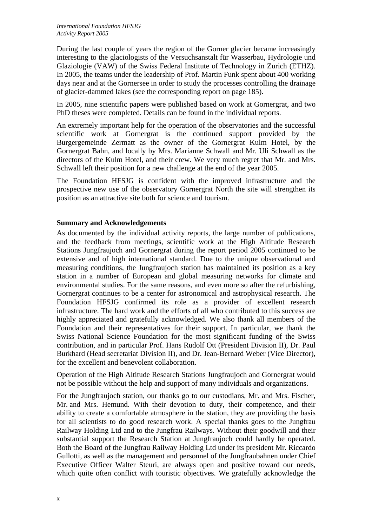During the last couple of years the region of the Gorner glacier became increasingly interesting to the glaciologists of the Versuchsanstalt für Wasserbau, Hydrologie und Glaziologie (VAW) of the Swiss Federal Institute of Technology in Zurich (ETHZ). In 2005, the teams under the leadership of Prof. Martin Funk spent about 400 working days near and at the Gornersee in order to study the processes controlling the drainage of glacier-dammed lakes (see the corresponding report on page 185).

In 2005, nine scientific papers were published based on work at Gornergrat, and two PhD theses were completed. Details can be found in the individual reports.

An extremely important help for the operation of the observatories and the successful scientific work at Gornergrat is the continued support provided by the Burgergemeinde Zermatt as the owner of the Gornergrat Kulm Hotel, by the Gornergrat Bahn, and locally by Mrs. Marianne Schwall and Mr. Uli Schwall as the directors of the Kulm Hotel, and their crew. We very much regret that Mr. and Mrs. Schwall left their position for a new challenge at the end of the year 2005.

The Foundation HFSJG is confident with the improved infrastructure and the prospective new use of the observatory Gornergrat North the site will strengthen its position as an attractive site both for science and tourism.

### **Summary and Acknowledgements**

As documented by the individual activity reports, the large number of publications, and the feedback from meetings, scientific work at the High Altitude Research Stations Jungfraujoch and Gornergrat during the report period 2005 continued to be extensive and of high international standard. Due to the unique observational and measuring conditions, the Jungfraujoch station has maintained its position as a key station in a number of European and global measuring networks for climate and environmental studies. For the same reasons, and even more so after the refurbishing, Gornergrat continues to be a center for astronomical and astrophysical research. The Foundation HFSJG confirmed its role as a provider of excellent research infrastructure. The hard work and the efforts of all who contributed to this success are highly appreciated and gratefully acknowledged. We also thank all members of the Foundation and their representatives for their support. In particular, we thank the Swiss National Science Foundation for the most significant funding of the Swiss contribution, and in particular Prof. Hans Rudolf Ott (President Division II), Dr. Paul Burkhard (Head secretariat Division II), and Dr. Jean-Bernard Weber (Vice Director), for the excellent and benevolent collaboration.

Operation of the High Altitude Research Stations Jungfraujoch and Gornergrat would not be possible without the help and support of many individuals and organizations.

For the Jungfraujoch station, our thanks go to our custodians, Mr. and Mrs. Fischer, Mr. and Mrs. Hemund. With their devotion to duty, their competence, and their ability to create a comfortable atmosphere in the station, they are providing the basis for all scientists to do good research work. A special thanks goes to the Jungfrau Railway Holding Ltd and to the Jungfrau Railways. Without their goodwill and their substantial support the Research Station at Jungfraujoch could hardly be operated. Both the Board of the Jungfrau Railway Holding Ltd under its president Mr. Riccardo Gullotti, as well as the management and personnel of the Jungfraubahnen under Chief Executive Officer Walter Steuri, are always open and positive toward our needs, which quite often conflict with touristic objectives. We gratefully acknowledge the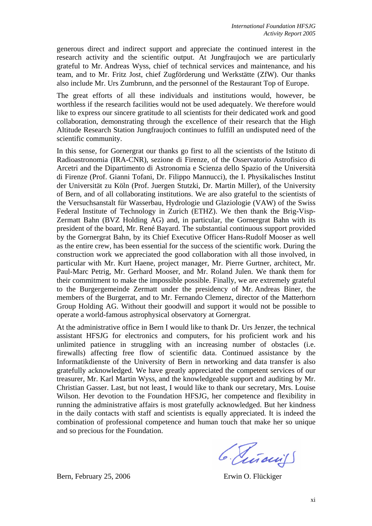generous direct and indirect support and appreciate the continued interest in the research activity and the scientific output. At Jungfraujoch we are particularly grateful to Mr. Andreas Wyss, chief of technical services and maintenance, and his team, and to Mr. Fritz Jost, chief Zugförderung und Werkstätte (ZfW). Our thanks also include Mr. Urs Zumbrunn, and the personnel of the Restaurant Top of Europe.

The great efforts of all these individuals and institutions would, however, be worthless if the research facilities would not be used adequately. We therefore would like to express our sincere gratitude to all scientists for their dedicated work and good collaboration, demonstrating through the excellence of their research that the High Altitude Research Station Jungfraujoch continues to fulfill an undisputed need of the scientific community.

In this sense, for Gornergrat our thanks go first to all the scientists of the Istituto di Radioastronomia (IRA-CNR), sezione di Firenze, of the Osservatorio Astrofisico di Arcetri and the Dipartimento di Astronomia e Scienza dello Spazio of the Università di Firenze (Prof. Gianni Tofani, Dr. Filippo Mannucci), the I. Physikalisches Institut der Universität zu Köln (Prof. Juergen Stutzki, Dr. Martin Miller), of the University of Bern, and of all collaborating institutions. We are also grateful to the scientists of the Versuchsanstalt für Wasserbau, Hydrologie und Glaziologie (VAW) of the Swiss Federal Institute of Technology in Zurich (ETHZ). We then thank the Brig-Visp-Zermatt Bahn (BVZ Holding AG) and, in particular, the Gornergrat Bahn with its president of the board, Mr. René Bayard. The substantial continuous support provided by the Gornergrat Bahn, by its Chief Executive Officer Hans-Rudolf Mooser as well as the entire crew, has been essential for the success of the scientific work. During the construction work we appreciated the good collaboration with all those involved, in particular with Mr. Kurt Haene, project manager, Mr. Pierre Gurtner, architect, Mr. Paul-Marc Petrig, Mr. Gerhard Mooser, and Mr. Roland Julen. We thank them for their commitment to make the impossible possible. Finally, we are extremely grateful to the Burgergemeinde Zermatt under the presidency of Mr. Andreas Biner, the members of the Burgerrat, and to Mr. Fernando Clemenz, director of the Matterhorn Group Holding AG. Without their goodwill and support it would not be possible to operate a world-famous astrophysical observatory at Gornergrat.

At the administrative office in Bern I would like to thank Dr. Urs Jenzer, the technical assistant HFSJG for electronics and computers, for his proficient work and his unlimited patience in struggling with an increasing number of obstacles (i.e. firewalls) affecting free flow of scientific data. Continued assistance by the Informatikdienste of the University of Bern in networking and data transfer is also gratefully acknowledged. We have greatly appreciated the competent services of our treasurer, Mr. Karl Martin Wyss, and the knowledgeable support and auditing by Mr. Christian Gasser. Last, but not least, I would like to thank our secretary, Mrs. Louise Wilson. Her devotion to the Foundation HFSJG, her competence and flexibility in running the administrative affairs is most gratefully acknowledged. But her kindness in the daily contacts with staff and scientists is equally appreciated. It is indeed the combination of professional competence and human touch that make her so unique and so precious for the Foundation.

6. Tinouil

Bern, February 25, 2006 Erwin O. Flückiger